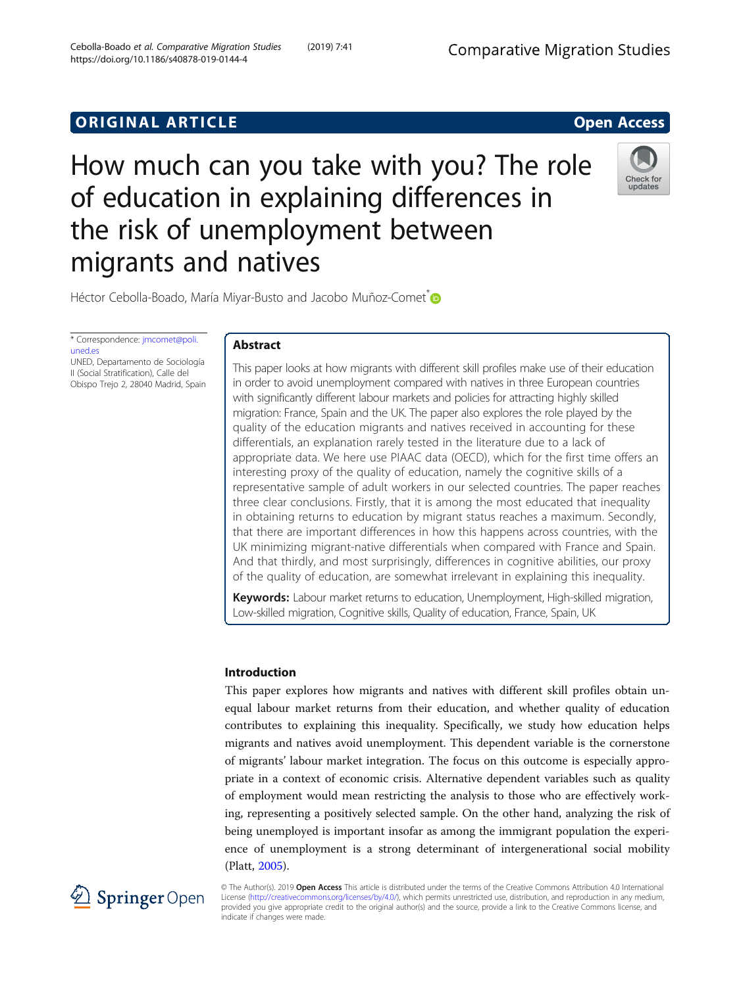# **ORIGINAL ARTICLE CONSUMING A LIGACION** CONSUMING A LIGACION CONSUMING A LIGACION CONSUMING A LIGACION CONSUMING A LIGACION CONSUMING A LIGACION CONSUMING A LIGACION CONSUMING A LIGACION CONSUMING A LIGACION CONSUMING A



# How much can you take with you? The role of education in explaining differences in the risk of unemployment between migrants and natives



Héctor Cebolla-Boado, María Miyar-Busto and Jacobo Muñoz-Comet<sup>®</sup>

\* Correspondence: [jmcomet@poli.](mailto:jmcomet@poli.uned.es) [uned.es](mailto:jmcomet@poli.uned.es) UNED, Departamento de Sociología II (Social Stratification), Calle del Obispo Trejo 2, 28040 Madrid, Spain

Abstract

This paper looks at how migrants with different skill profiles make use of their education in order to avoid unemployment compared with natives in three European countries with significantly different labour markets and policies for attracting highly skilled migration: France, Spain and the UK. The paper also explores the role played by the quality of the education migrants and natives received in accounting for these differentials, an explanation rarely tested in the literature due to a lack of appropriate data. We here use PIAAC data (OECD), which for the first time offers an interesting proxy of the quality of education, namely the cognitive skills of a representative sample of adult workers in our selected countries. The paper reaches three clear conclusions. Firstly, that it is among the most educated that inequality in obtaining returns to education by migrant status reaches a maximum. Secondly, that there are important differences in how this happens across countries, with the UK minimizing migrant-native differentials when compared with France and Spain. And that thirdly, and most surprisingly, differences in cognitive abilities, our proxy of the quality of education, are somewhat irrelevant in explaining this inequality.

**Keywords:** Labour market returns to education, Unemployment, High-skilled migration, Low-skilled migration, Cognitive skills, Quality of education, France, Spain, UK

## Introduction

This paper explores how migrants and natives with different skill profiles obtain unequal labour market returns from their education, and whether quality of education contributes to explaining this inequality. Specifically, we study how education helps migrants and natives avoid unemployment. This dependent variable is the cornerstone of migrants' labour market integration. The focus on this outcome is especially appropriate in a context of economic crisis. Alternative dependent variables such as quality of employment would mean restricting the analysis to those who are effectively working, representing a positively selected sample. On the other hand, analyzing the risk of being unemployed is important insofar as among the immigrant population the experience of unemployment is a strong determinant of intergenerational social mobility (Platt, [2005](#page-20-0)).



© The Author(s). 2019 Open Access This article is distributed under the terms of the Creative Commons Attribution 4.0 International License [\(http://creativecommons.org/licenses/by/4.0/](http://creativecommons.org/licenses/by/4.0/)), which permits unrestricted use, distribution, and reproduction in any medium, provided you give appropriate credit to the original author(s) and the source, provide a link to the Creative Commons license, and indicate if changes were made.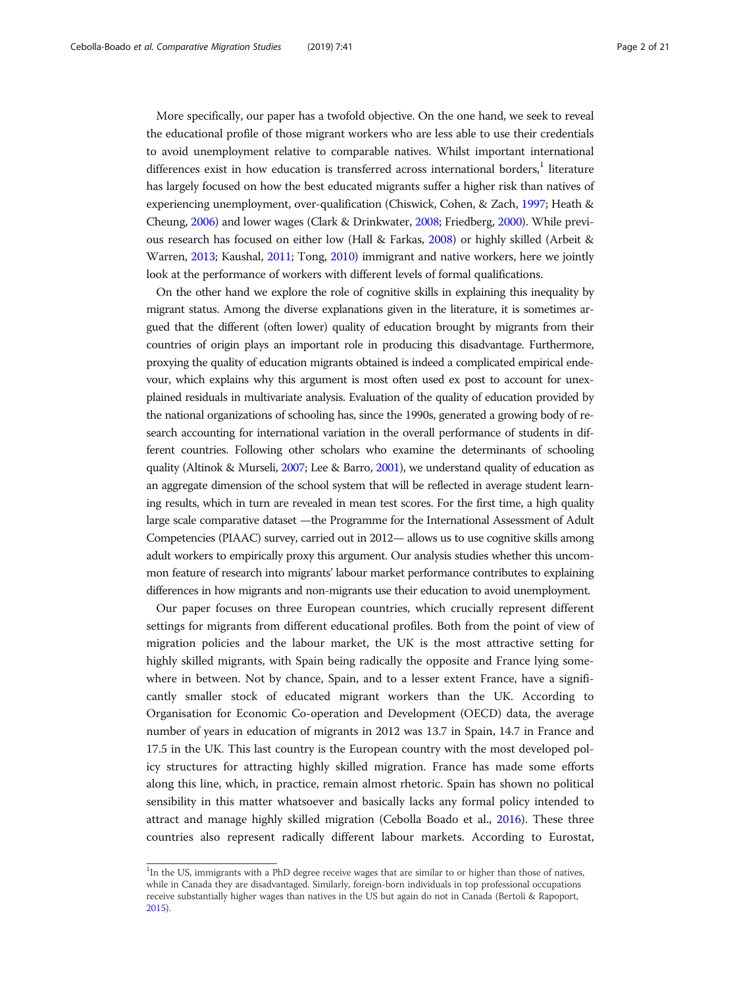More specifically, our paper has a twofold objective. On the one hand, we seek to reveal the educational profile of those migrant workers who are less able to use their credentials to avoid unemployment relative to comparable natives. Whilst important international differences exist in how education is transferred across international borders, $<sup>1</sup>$  literature</sup> has largely focused on how the best educated migrants suffer a higher risk than natives of experiencing unemployment, over-qualification (Chiswick, Cohen, & Zach, [1997;](#page-19-0) Heath & Cheung, [2006\)](#page-20-0) and lower wages (Clark & Drinkwater, [2008](#page-19-0); Friedberg, [2000\)](#page-20-0). While previous research has focused on either low (Hall & Farkas, [2008\)](#page-20-0) or highly skilled (Arbeit & Warren, [2013;](#page-19-0) Kaushal, [2011](#page-20-0); Tong, [2010](#page-20-0)) immigrant and native workers, here we jointly look at the performance of workers with different levels of formal qualifications.

On the other hand we explore the role of cognitive skills in explaining this inequality by migrant status. Among the diverse explanations given in the literature, it is sometimes argued that the different (often lower) quality of education brought by migrants from their countries of origin plays an important role in producing this disadvantage. Furthermore, proxying the quality of education migrants obtained is indeed a complicated empirical endevour, which explains why this argument is most often used ex post to account for unexplained residuals in multivariate analysis. Evaluation of the quality of education provided by the national organizations of schooling has, since the 1990s, generated a growing body of research accounting for international variation in the overall performance of students in different countries. Following other scholars who examine the determinants of schooling quality (Altinok & Murseli, [2007](#page-19-0); Lee & Barro, [2001](#page-20-0)), we understand quality of education as an aggregate dimension of the school system that will be reflected in average student learning results, which in turn are revealed in mean test scores. For the first time, a high quality large scale comparative dataset —the Programme for the International Assessment of Adult Competencies (PIAAC) survey, carried out in 2012— allows us to use cognitive skills among adult workers to empirically proxy this argument. Our analysis studies whether this uncommon feature of research into migrants' labour market performance contributes to explaining differences in how migrants and non-migrants use their education to avoid unemployment.

Our paper focuses on three European countries, which crucially represent different settings for migrants from different educational profiles. Both from the point of view of migration policies and the labour market, the UK is the most attractive setting for highly skilled migrants, with Spain being radically the opposite and France lying somewhere in between. Not by chance, Spain, and to a lesser extent France, have a significantly smaller stock of educated migrant workers than the UK. According to Organisation for Economic Co-operation and Development (OECD) data, the average number of years in education of migrants in 2012 was 13.7 in Spain, 14.7 in France and 17.5 in the UK. This last country is the European country with the most developed policy structures for attracting highly skilled migration. France has made some efforts along this line, which, in practice, remain almost rhetoric. Spain has shown no political sensibility in this matter whatsoever and basically lacks any formal policy intended to attract and manage highly skilled migration (Cebolla Boado et al., [2016\)](#page-19-0). These three countries also represent radically different labour markets. According to Eurostat,

<sup>&</sup>lt;sup>1</sup>In the US, immigrants with a PhD degree receive wages that are similar to or higher than those of natives, while in Canada they are disadvantaged. Similarly, foreign-born individuals in top professional occupations receive substantially higher wages than natives in the US but again do not in Canada (Bertoli & Rapoport, [2015](#page-19-0)).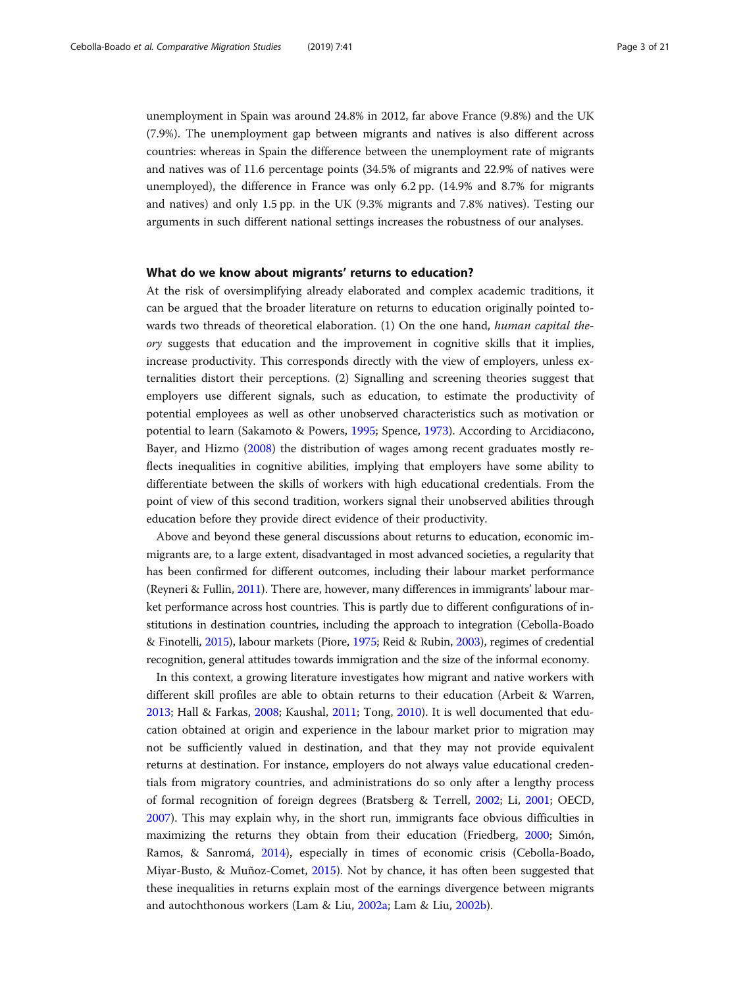unemployment in Spain was around 24.8% in 2012, far above France (9.8%) and the UK (7.9%). The unemployment gap between migrants and natives is also different across countries: whereas in Spain the difference between the unemployment rate of migrants and natives was of 11.6 percentage points (34.5% of migrants and 22.9% of natives were unemployed), the difference in France was only 6.2 pp. (14.9% and 8.7% for migrants and natives) and only 1.5 pp. in the UK (9.3% migrants and 7.8% natives). Testing our arguments in such different national settings increases the robustness of our analyses.

### What do we know about migrants' returns to education?

At the risk of oversimplifying already elaborated and complex academic traditions, it can be argued that the broader literature on returns to education originally pointed towards two threads of theoretical elaboration. (1) On the one hand, human capital theory suggests that education and the improvement in cognitive skills that it implies, increase productivity. This corresponds directly with the view of employers, unless externalities distort their perceptions. (2) Signalling and screening theories suggest that employers use different signals, such as education, to estimate the productivity of potential employees as well as other unobserved characteristics such as motivation or potential to learn (Sakamoto & Powers, [1995;](#page-20-0) Spence, [1973\)](#page-20-0). According to Arcidiacono, Bayer, and Hizmo [\(2008\)](#page-19-0) the distribution of wages among recent graduates mostly reflects inequalities in cognitive abilities, implying that employers have some ability to differentiate between the skills of workers with high educational credentials. From the point of view of this second tradition, workers signal their unobserved abilities through education before they provide direct evidence of their productivity.

Above and beyond these general discussions about returns to education, economic immigrants are, to a large extent, disadvantaged in most advanced societies, a regularity that has been confirmed for different outcomes, including their labour market performance (Reyneri & Fullin, [2011](#page-20-0)). There are, however, many differences in immigrants' labour market performance across host countries. This is partly due to different configurations of institutions in destination countries, including the approach to integration (Cebolla-Boado & Finotelli, [2015](#page-19-0)), labour markets (Piore, [1975;](#page-20-0) Reid & Rubin, [2003](#page-20-0)), regimes of credential recognition, general attitudes towards immigration and the size of the informal economy.

In this context, a growing literature investigates how migrant and native workers with different skill profiles are able to obtain returns to their education (Arbeit & Warren, [2013](#page-19-0); Hall & Farkas, [2008](#page-20-0); Kaushal, [2011;](#page-20-0) Tong, [2010\)](#page-20-0). It is well documented that education obtained at origin and experience in the labour market prior to migration may not be sufficiently valued in destination, and that they may not provide equivalent returns at destination. For instance, employers do not always value educational credentials from migratory countries, and administrations do so only after a lengthy process of formal recognition of foreign degrees (Bratsberg & Terrell, [2002;](#page-19-0) Li, [2001](#page-20-0); OECD, [2007](#page-20-0)). This may explain why, in the short run, immigrants face obvious difficulties in maximizing the returns they obtain from their education (Friedberg, [2000;](#page-20-0) Simón, Ramos, & Sanromá, [2014\)](#page-20-0), especially in times of economic crisis (Cebolla-Boado, Miyar-Busto, & Muñoz-Comet, [2015](#page-19-0)). Not by chance, it has often been suggested that these inequalities in returns explain most of the earnings divergence between migrants and autochthonous workers (Lam & Liu, [2002a;](#page-20-0) Lam & Liu, [2002b](#page-20-0)).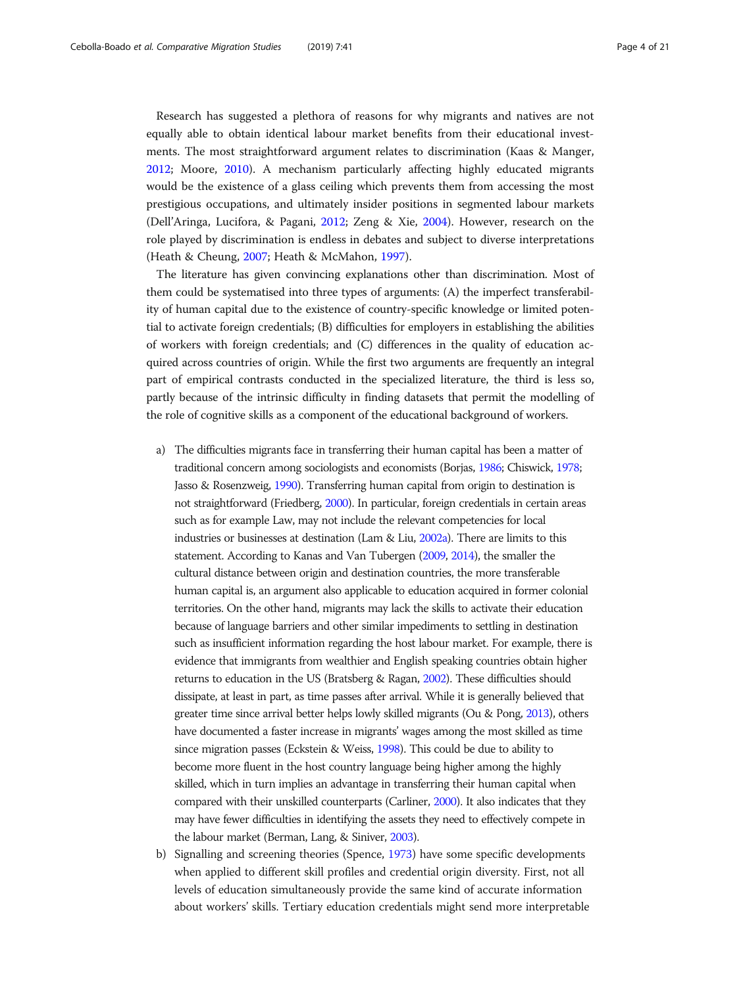Research has suggested a plethora of reasons for why migrants and natives are not equally able to obtain identical labour market benefits from their educational investments. The most straightforward argument relates to discrimination (Kaas & Manger, [2012](#page-20-0); Moore, [2010](#page-20-0)). A mechanism particularly affecting highly educated migrants would be the existence of a glass ceiling which prevents them from accessing the most prestigious occupations, and ultimately insider positions in segmented labour markets (Dell'Aringa, Lucifora, & Pagani, [2012;](#page-20-0) Zeng & Xie, [2004\)](#page-20-0). However, research on the role played by discrimination is endless in debates and subject to diverse interpretations (Heath & Cheung, [2007](#page-20-0); Heath & McMahon, [1997\)](#page-20-0).

The literature has given convincing explanations other than discrimination. Most of them could be systematised into three types of arguments: (A) the imperfect transferability of human capital due to the existence of country-specific knowledge or limited potential to activate foreign credentials; (B) difficulties for employers in establishing the abilities of workers with foreign credentials; and (C) differences in the quality of education acquired across countries of origin. While the first two arguments are frequently an integral part of empirical contrasts conducted in the specialized literature, the third is less so, partly because of the intrinsic difficulty in finding datasets that permit the modelling of the role of cognitive skills as a component of the educational background of workers.

- a) The difficulties migrants face in transferring their human capital has been a matter of traditional concern among sociologists and economists (Borjas, [1986](#page-19-0); Chiswick, [1978;](#page-19-0) Jasso & Rosenzweig, [1990\)](#page-20-0). Transferring human capital from origin to destination is not straightforward (Friedberg, [2000\)](#page-20-0). In particular, foreign credentials in certain areas such as for example Law, may not include the relevant competencies for local industries or businesses at destination (Lam & Liu, [2002a\)](#page-20-0). There are limits to this statement. According to Kanas and Van Tubergen ([2009](#page-20-0), [2014](#page-20-0)), the smaller the cultural distance between origin and destination countries, the more transferable human capital is, an argument also applicable to education acquired in former colonial territories. On the other hand, migrants may lack the skills to activate their education because of language barriers and other similar impediments to settling in destination such as insufficient information regarding the host labour market. For example, there is evidence that immigrants from wealthier and English speaking countries obtain higher returns to education in the US (Bratsberg & Ragan, [2002\)](#page-19-0). These difficulties should dissipate, at least in part, as time passes after arrival. While it is generally believed that greater time since arrival better helps lowly skilled migrants (Ou & Pong, [2013\)](#page-20-0), others have documented a faster increase in migrants' wages among the most skilled as time since migration passes (Eckstein & Weiss, [1998\)](#page-20-0). This could be due to ability to become more fluent in the host country language being higher among the highly skilled, which in turn implies an advantage in transferring their human capital when compared with their unskilled counterparts (Carliner, [2000](#page-19-0)). It also indicates that they may have fewer difficulties in identifying the assets they need to effectively compete in the labour market (Berman, Lang, & Siniver, [2003](#page-19-0)).
- b) Signalling and screening theories (Spence, [1973](#page-20-0)) have some specific developments when applied to different skill profiles and credential origin diversity. First, not all levels of education simultaneously provide the same kind of accurate information about workers' skills. Tertiary education credentials might send more interpretable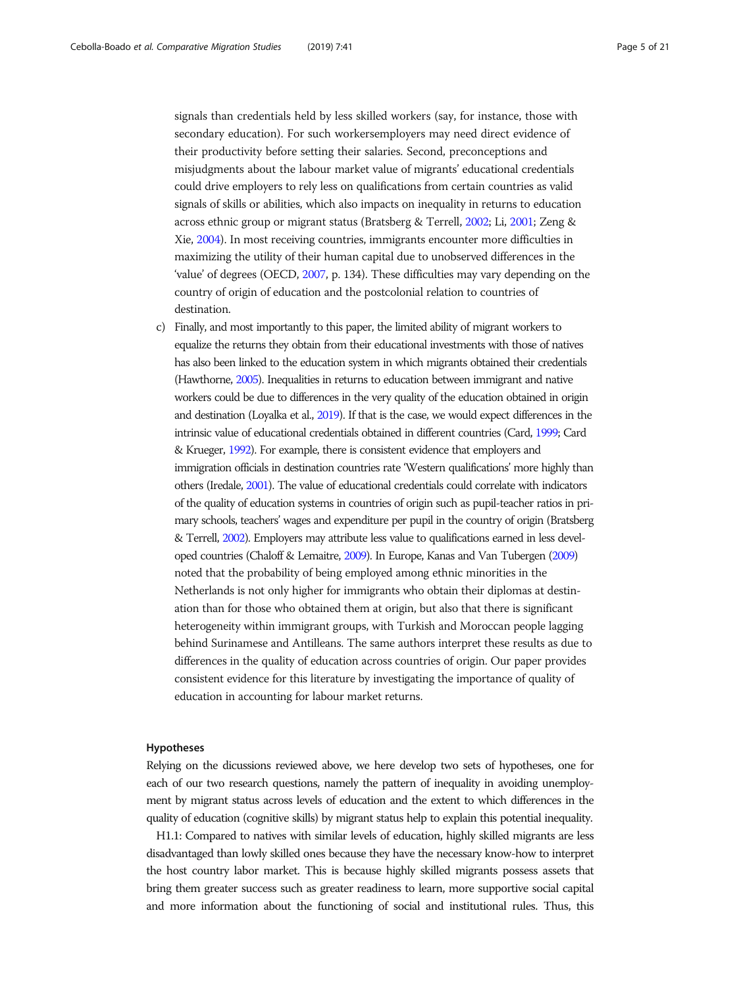signals than credentials held by less skilled workers (say, for instance, those with secondary education). For such workersemployers may need direct evidence of their productivity before setting their salaries. Second, preconceptions and misjudgments about the labour market value of migrants' educational credentials could drive employers to rely less on qualifications from certain countries as valid signals of skills or abilities, which also impacts on inequality in returns to education across ethnic group or migrant status (Bratsberg & Terrell, [2002;](#page-19-0) Li, [2001;](#page-20-0) Zeng & Xie, [2004](#page-20-0)). In most receiving countries, immigrants encounter more difficulties in maximizing the utility of their human capital due to unobserved differences in the 'value' of degrees (OECD, [2007,](#page-20-0) p. 134). These difficulties may vary depending on the country of origin of education and the postcolonial relation to countries of destination.

c) Finally, and most importantly to this paper, the limited ability of migrant workers to equalize the returns they obtain from their educational investments with those of natives has also been linked to the education system in which migrants obtained their credentials (Hawthorne, [2005\)](#page-20-0). Inequalities in returns to education between immigrant and native workers could be due to differences in the very quality of the education obtained in origin and destination (Loyalka et al., [2019\)](#page-20-0). If that is the case, we would expect differences in the intrinsic value of educational credentials obtained in different countries (Card, [1999](#page-19-0); Card & Krueger, [1992\)](#page-19-0). For example, there is consistent evidence that employers and immigration officials in destination countries rate 'Western qualifications' more highly than others (Iredale, [2001\)](#page-20-0). The value of educational credentials could correlate with indicators of the quality of education systems in countries of origin such as pupil-teacher ratios in primary schools, teachers' wages and expenditure per pupil in the country of origin (Bratsberg & Terrell, [2002\)](#page-19-0). Employers may attribute less value to qualifications earned in less developed countries (Chaloff & Lemaitre, [2009\)](#page-19-0). In Europe, Kanas and Van Tubergen [\(2009\)](#page-20-0) noted that the probability of being employed among ethnic minorities in the Netherlands is not only higher for immigrants who obtain their diplomas at destination than for those who obtained them at origin, but also that there is significant heterogeneity within immigrant groups, with Turkish and Moroccan people lagging behind Surinamese and Antilleans. The same authors interpret these results as due to differences in the quality of education across countries of origin. Our paper provides consistent evidence for this literature by investigating the importance of quality of education in accounting for labour market returns.

### Hypotheses

Relying on the dicussions reviewed above, we here develop two sets of hypotheses, one for each of our two research questions, namely the pattern of inequality in avoiding unemployment by migrant status across levels of education and the extent to which differences in the quality of education (cognitive skills) by migrant status help to explain this potential inequality.

H1.1: Compared to natives with similar levels of education, highly skilled migrants are less disadvantaged than lowly skilled ones because they have the necessary know-how to interpret the host country labor market. This is because highly skilled migrants possess assets that bring them greater success such as greater readiness to learn, more supportive social capital and more information about the functioning of social and institutional rules. Thus, this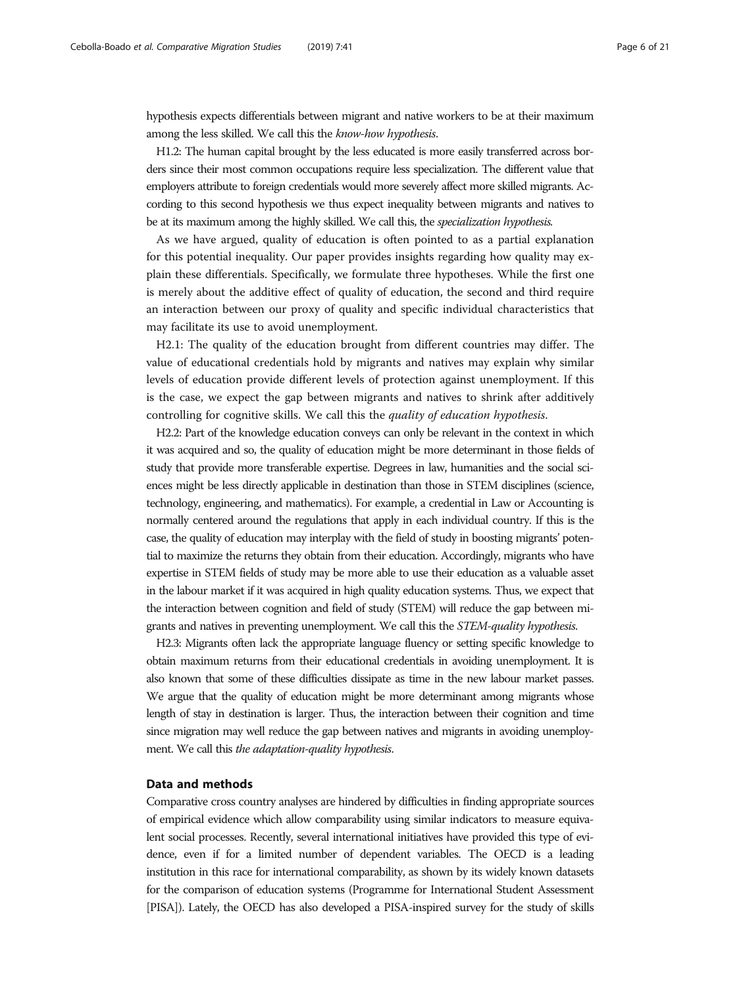hypothesis expects differentials between migrant and native workers to be at their maximum among the less skilled. We call this the know-how hypothesis.

H1.2: The human capital brought by the less educated is more easily transferred across borders since their most common occupations require less specialization. The different value that employers attribute to foreign credentials would more severely affect more skilled migrants. According to this second hypothesis we thus expect inequality between migrants and natives to be at its maximum among the highly skilled. We call this, the specialization hypothesis.

As we have argued, quality of education is often pointed to as a partial explanation for this potential inequality. Our paper provides insights regarding how quality may explain these differentials. Specifically, we formulate three hypotheses. While the first one is merely about the additive effect of quality of education, the second and third require an interaction between our proxy of quality and specific individual characteristics that may facilitate its use to avoid unemployment.

H2.1: The quality of the education brought from different countries may differ. The value of educational credentials hold by migrants and natives may explain why similar levels of education provide different levels of protection against unemployment. If this is the case, we expect the gap between migrants and natives to shrink after additively controlling for cognitive skills. We call this the quality of education hypothesis.

H2.2: Part of the knowledge education conveys can only be relevant in the context in which it was acquired and so, the quality of education might be more determinant in those fields of study that provide more transferable expertise. Degrees in law, humanities and the social sciences might be less directly applicable in destination than those in STEM disciplines (science, technology, engineering, and mathematics). For example, a credential in Law or Accounting is normally centered around the regulations that apply in each individual country. If this is the case, the quality of education may interplay with the field of study in boosting migrants' potential to maximize the returns they obtain from their education. Accordingly, migrants who have expertise in STEM fields of study may be more able to use their education as a valuable asset in the labour market if it was acquired in high quality education systems. Thus, we expect that the interaction between cognition and field of study (STEM) will reduce the gap between migrants and natives in preventing unemployment. We call this the STEM-quality hypothesis.

H2.3: Migrants often lack the appropriate language fluency or setting specific knowledge to obtain maximum returns from their educational credentials in avoiding unemployment. It is also known that some of these difficulties dissipate as time in the new labour market passes. We argue that the quality of education might be more determinant among migrants whose length of stay in destination is larger. Thus, the interaction between their cognition and time since migration may well reduce the gap between natives and migrants in avoiding unemployment. We call this the adaptation-quality hypothesis.

### Data and methods

Comparative cross country analyses are hindered by difficulties in finding appropriate sources of empirical evidence which allow comparability using similar indicators to measure equivalent social processes. Recently, several international initiatives have provided this type of evidence, even if for a limited number of dependent variables. The OECD is a leading institution in this race for international comparability, as shown by its widely known datasets for the comparison of education systems (Programme for International Student Assessment [PISA]). Lately, the OECD has also developed a PISA-inspired survey for the study of skills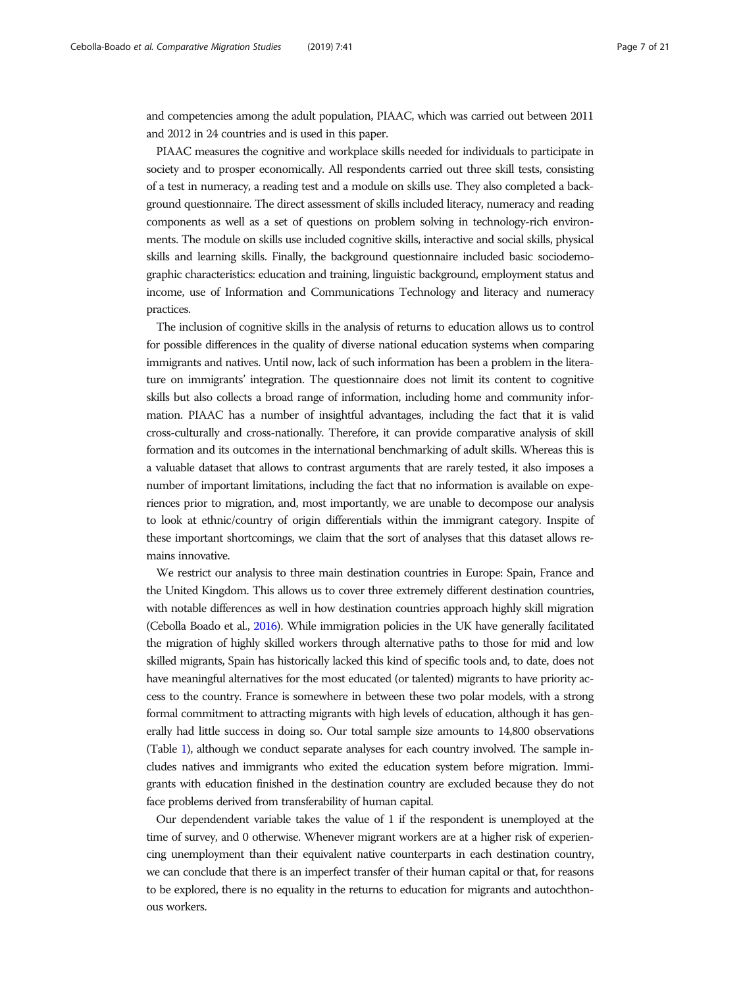and competencies among the adult population, PIAAC, which was carried out between 2011 and 2012 in 24 countries and is used in this paper.

PIAAC measures the cognitive and workplace skills needed for individuals to participate in society and to prosper economically. All respondents carried out three skill tests, consisting of a test in numeracy, a reading test and a module on skills use. They also completed a background questionnaire. The direct assessment of skills included literacy, numeracy and reading components as well as a set of questions on problem solving in technology-rich environments. The module on skills use included cognitive skills, interactive and social skills, physical skills and learning skills. Finally, the background questionnaire included basic sociodemographic characteristics: education and training, linguistic background, employment status and income, use of Information and Communications Technology and literacy and numeracy practices.

The inclusion of cognitive skills in the analysis of returns to education allows us to control for possible differences in the quality of diverse national education systems when comparing immigrants and natives. Until now, lack of such information has been a problem in the literature on immigrants' integration. The questionnaire does not limit its content to cognitive skills but also collects a broad range of information, including home and community information. PIAAC has a number of insightful advantages, including the fact that it is valid cross-culturally and cross-nationally. Therefore, it can provide comparative analysis of skill formation and its outcomes in the international benchmarking of adult skills. Whereas this is a valuable dataset that allows to contrast arguments that are rarely tested, it also imposes a number of important limitations, including the fact that no information is available on experiences prior to migration, and, most importantly, we are unable to decompose our analysis to look at ethnic/country of origin differentials within the immigrant category. Inspite of these important shortcomings, we claim that the sort of analyses that this dataset allows remains innovative.

We restrict our analysis to three main destination countries in Europe: Spain, France and the United Kingdom. This allows us to cover three extremely different destination countries, with notable differences as well in how destination countries approach highly skill migration (Cebolla Boado et al., [2016\)](#page-19-0). While immigration policies in the UK have generally facilitated the migration of highly skilled workers through alternative paths to those for mid and low skilled migrants, Spain has historically lacked this kind of specific tools and, to date, does not have meaningful alternatives for the most educated (or talented) migrants to have priority access to the country. France is somewhere in between these two polar models, with a strong formal commitment to attracting migrants with high levels of education, although it has generally had little success in doing so. Our total sample size amounts to 14,800 observations (Table [1](#page-7-0)), although we conduct separate analyses for each country involved. The sample includes natives and immigrants who exited the education system before migration. Immigrants with education finished in the destination country are excluded because they do not face problems derived from transferability of human capital.

Our dependendent variable takes the value of 1 if the respondent is unemployed at the time of survey, and 0 otherwise. Whenever migrant workers are at a higher risk of experiencing unemployment than their equivalent native counterparts in each destination country, we can conclude that there is an imperfect transfer of their human capital or that, for reasons to be explored, there is no equality in the returns to education for migrants and autochthonous workers.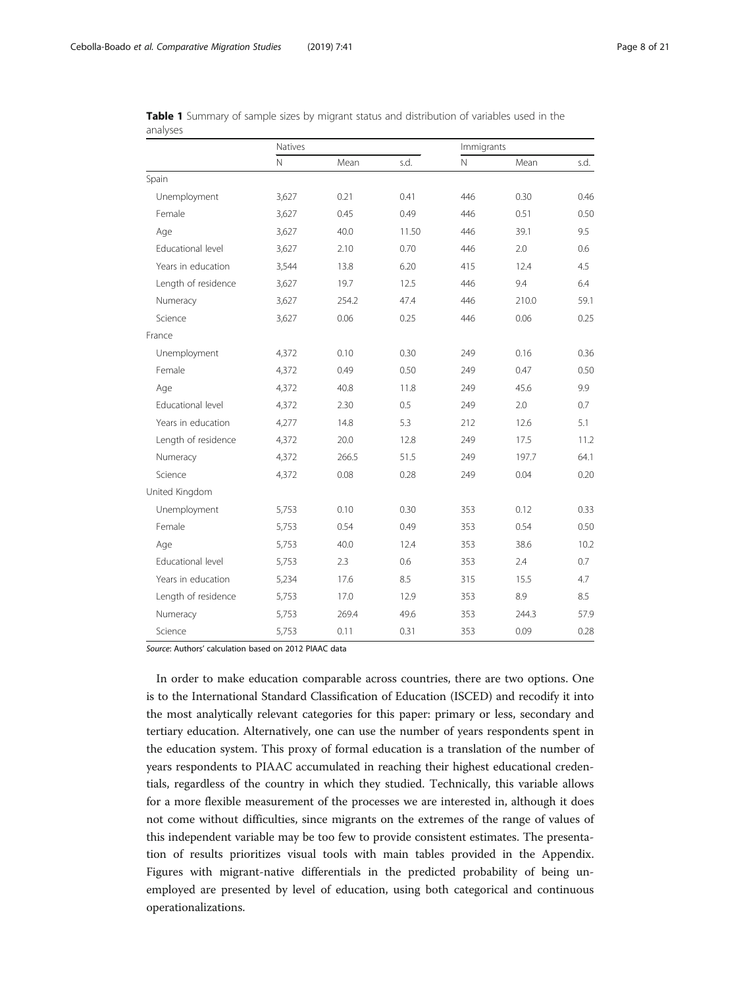|                     | Natives    |       |       | Immigrants   |       |      |
|---------------------|------------|-------|-------|--------------|-------|------|
|                     | $\hbox{N}$ | Mean  | s.d.  | $\mathsf{N}$ | Mean  | s.d. |
| Spain               |            |       |       |              |       |      |
| Unemployment        | 3,627      | 0.21  | 0.41  | 446          | 0.30  | 0.46 |
| Female              | 3,627      | 0.45  | 0.49  | 446          | 0.51  | 0.50 |
| Age                 | 3,627      | 40.0  | 11.50 | 446          | 39.1  | 9.5  |
| Educational level   | 3,627      | 2.10  | 0.70  | 446          | 2.0   | 0.6  |
| Years in education  | 3,544      | 13.8  | 6.20  | 415          | 12.4  | 4.5  |
| Length of residence | 3,627      | 19.7  | 12.5  | 446          | 9.4   | 6.4  |
| Numeracy            | 3,627      | 254.2 | 47.4  | 446          | 210.0 | 59.1 |
| Science             | 3,627      | 0.06  | 0.25  | 446          | 0.06  | 0.25 |
| France              |            |       |       |              |       |      |
| Unemployment        | 4,372      | 0.10  | 0.30  | 249          | 0.16  | 0.36 |
| Female              | 4,372      | 0.49  | 0.50  | 249          | 0.47  | 0.50 |
| Age                 | 4,372      | 40.8  | 11.8  | 249          | 45.6  | 9.9  |
| Educational level   | 4,372      | 2.30  | 0.5   | 249          | 2.0   | 0.7  |
| Years in education  | 4,277      | 14.8  | 5.3   | 212          | 12.6  | 5.1  |
| Length of residence | 4,372      | 20.0  | 12.8  | 249          | 17.5  | 11.2 |
| Numeracy            | 4,372      | 266.5 | 51.5  | 249          | 197.7 | 64.1 |
| Science             | 4,372      | 0.08  | 0.28  | 249          | 0.04  | 0.20 |
| United Kingdom      |            |       |       |              |       |      |
| Unemployment        | 5,753      | 0.10  | 0.30  | 353          | 0.12  | 0.33 |
| Female              | 5,753      | 0.54  | 0.49  | 353          | 0.54  | 0.50 |
| Age                 | 5,753      | 40.0  | 12.4  | 353          | 38.6  | 10.2 |
| Educational level   | 5,753      | 2.3   | 0.6   | 353          | 2.4   | 0.7  |
| Years in education  | 5,234      | 17.6  | 8.5   | 315          | 15.5  | 4.7  |
| Length of residence | 5,753      | 17.0  | 12.9  | 353          | 8.9   | 8.5  |
| Numeracy            | 5,753      | 269.4 | 49.6  | 353          | 244.3 | 57.9 |
| Science             | 5,753      | 0.11  | 0.31  | 353          | 0.09  | 0.28 |

<span id="page-7-0"></span>Table 1 Summary of sample sizes by migrant status and distribution of variables used in the analyses

Source: Authors' calculation based on 2012 PIAAC data

In order to make education comparable across countries, there are two options. One is to the International Standard Classification of Education (ISCED) and recodify it into the most analytically relevant categories for this paper: primary or less, secondary and tertiary education. Alternatively, one can use the number of years respondents spent in the education system. This proxy of formal education is a translation of the number of years respondents to PIAAC accumulated in reaching their highest educational credentials, regardless of the country in which they studied. Technically, this variable allows for a more flexible measurement of the processes we are interested in, although it does not come without difficulties, since migrants on the extremes of the range of values of this independent variable may be too few to provide consistent estimates. The presentation of results prioritizes visual tools with main tables provided in the Appendix. Figures with migrant-native differentials in the predicted probability of being unemployed are presented by level of education, using both categorical and continuous operationalizations.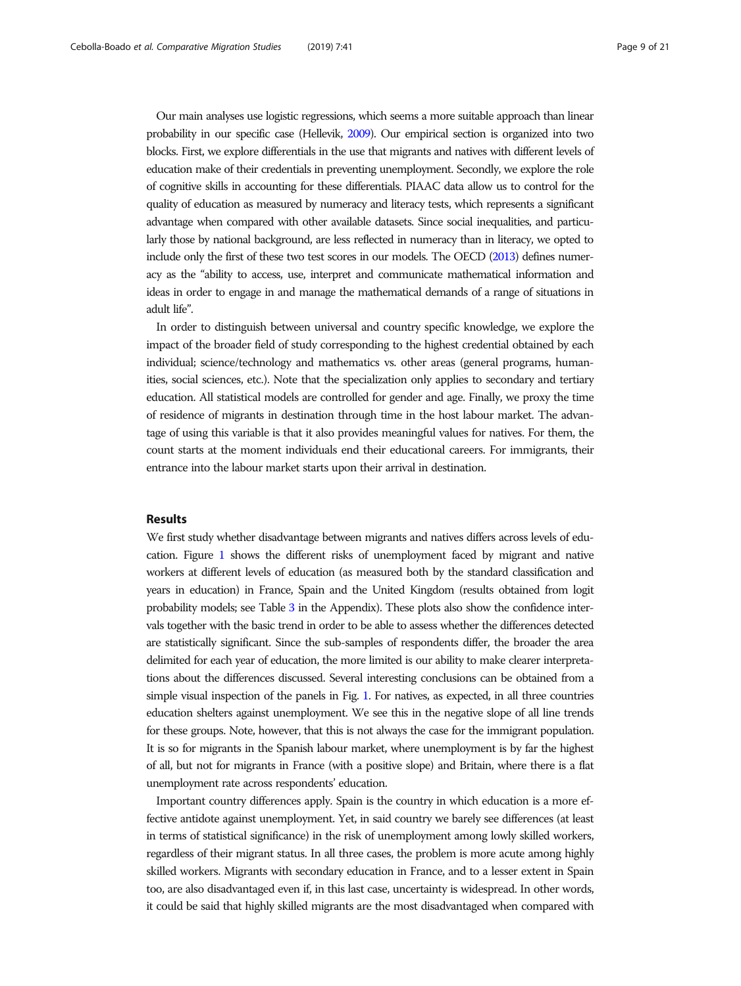Our main analyses use logistic regressions, which seems a more suitable approach than linear probability in our specific case (Hellevik, [2009\)](#page-20-0). Our empirical section is organized into two blocks. First, we explore differentials in the use that migrants and natives with different levels of education make of their credentials in preventing unemployment. Secondly, we explore the role of cognitive skills in accounting for these differentials. PIAAC data allow us to control for the quality of education as measured by numeracy and literacy tests, which represents a significant advantage when compared with other available datasets. Since social inequalities, and particularly those by national background, are less reflected in numeracy than in literacy, we opted to include only the first of these two test scores in our models. The OECD [\(2013](#page-20-0)) defines numeracy as the "ability to access, use, interpret and communicate mathematical information and ideas in order to engage in and manage the mathematical demands of a range of situations in adult life".

In order to distinguish between universal and country specific knowledge, we explore the impact of the broader field of study corresponding to the highest credential obtained by each individual; science/technology and mathematics vs. other areas (general programs, humanities, social sciences, etc.). Note that the specialization only applies to secondary and tertiary education. All statistical models are controlled for gender and age. Finally, we proxy the time of residence of migrants in destination through time in the host labour market. The advantage of using this variable is that it also provides meaningful values for natives. For them, the count starts at the moment individuals end their educational careers. For immigrants, their entrance into the labour market starts upon their arrival in destination.

### Results

We first study whether disadvantage between migrants and natives differs across levels of education. Figure [1](#page-9-0) shows the different risks of unemployment faced by migrant and native workers at different levels of education (as measured both by the standard classification and years in education) in France, Spain and the United Kingdom (results obtained from logit probability models; see Table [3](#page-13-0) in the Appendix). These plots also show the confidence intervals together with the basic trend in order to be able to assess whether the differences detected are statistically significant. Since the sub-samples of respondents differ, the broader the area delimited for each year of education, the more limited is our ability to make clearer interpretations about the differences discussed. Several interesting conclusions can be obtained from a simple visual inspection of the panels in Fig. [1](#page-9-0). For natives, as expected, in all three countries education shelters against unemployment. We see this in the negative slope of all line trends for these groups. Note, however, that this is not always the case for the immigrant population. It is so for migrants in the Spanish labour market, where unemployment is by far the highest of all, but not for migrants in France (with a positive slope) and Britain, where there is a flat unemployment rate across respondents' education.

Important country differences apply. Spain is the country in which education is a more effective antidote against unemployment. Yet, in said country we barely see differences (at least in terms of statistical significance) in the risk of unemployment among lowly skilled workers, regardless of their migrant status. In all three cases, the problem is more acute among highly skilled workers. Migrants with secondary education in France, and to a lesser extent in Spain too, are also disadvantaged even if, in this last case, uncertainty is widespread. In other words, it could be said that highly skilled migrants are the most disadvantaged when compared with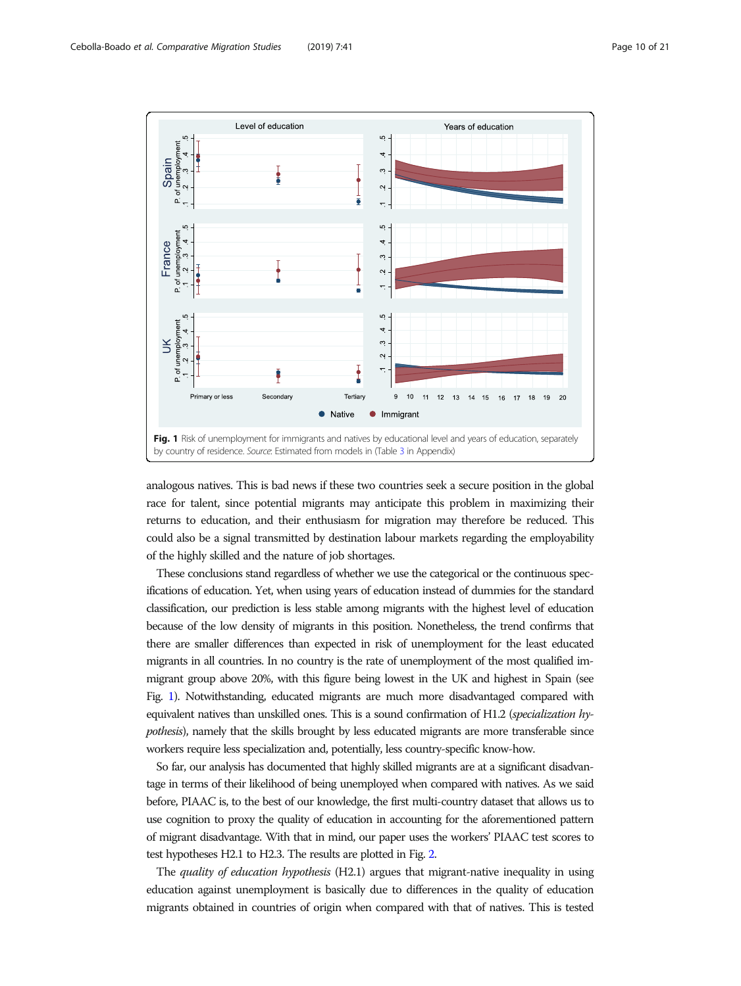<span id="page-9-0"></span>

analogous natives. This is bad news if these two countries seek a secure position in the global race for talent, since potential migrants may anticipate this problem in maximizing their returns to education, and their enthusiasm for migration may therefore be reduced. This could also be a signal transmitted by destination labour markets regarding the employability of the highly skilled and the nature of job shortages.

These conclusions stand regardless of whether we use the categorical or the continuous specifications of education. Yet, when using years of education instead of dummies for the standard classification, our prediction is less stable among migrants with the highest level of education because of the low density of migrants in this position. Nonetheless, the trend confirms that there are smaller differences than expected in risk of unemployment for the least educated migrants in all countries. In no country is the rate of unemployment of the most qualified immigrant group above 20%, with this figure being lowest in the UK and highest in Spain (see Fig. 1). Notwithstanding, educated migrants are much more disadvantaged compared with equivalent natives than unskilled ones. This is a sound confirmation of H1.2 (specialization hypothesis), namely that the skills brought by less educated migrants are more transferable since workers require less specialization and, potentially, less country-specific know-how.

So far, our analysis has documented that highly skilled migrants are at a significant disadvantage in terms of their likelihood of being unemployed when compared with natives. As we said before, PIAAC is, to the best of our knowledge, the first multi-country dataset that allows us to use cognition to proxy the quality of education in accounting for the aforementioned pattern of migrant disadvantage. With that in mind, our paper uses the workers' PIAAC test scores to test hypotheses H2.1 to H2.3. The results are plotted in Fig. [2](#page-10-0).

The quality of education hypothesis (H2.1) argues that migrant-native inequality in using education against unemployment is basically due to differences in the quality of education migrants obtained in countries of origin when compared with that of natives. This is tested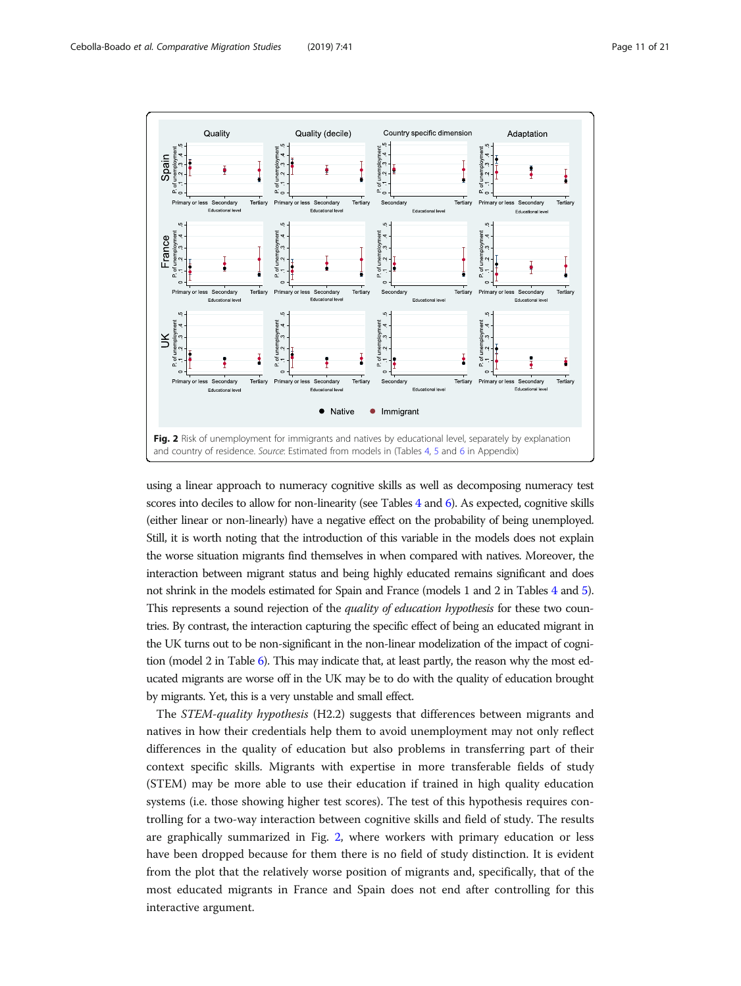<span id="page-10-0"></span>

using a linear approach to numeracy cognitive skills as well as decomposing numeracy test scores into deciles to allow for non-linearity (see Tables [4](#page-14-0) and [6\)](#page-18-0). As expected, cognitive skills (either linear or non-linearly) have a negative effect on the probability of being unemployed. Still, it is worth noting that the introduction of this variable in the models does not explain the worse situation migrants find themselves in when compared with natives. Moreover, the interaction between migrant status and being highly educated remains significant and does not shrink in the models estimated for Spain and France (models 1 and 2 in Tables [4](#page-14-0) and [5\)](#page-16-0). This represents a sound rejection of the *quality of education hypothesis* for these two countries. By contrast, the interaction capturing the specific effect of being an educated migrant in the UK turns out to be non-significant in the non-linear modelization of the impact of cognition (model 2 in Table [6](#page-18-0)). This may indicate that, at least partly, the reason why the most educated migrants are worse off in the UK may be to do with the quality of education brought by migrants. Yet, this is a very unstable and small effect.

The STEM-quality hypothesis (H2.2) suggests that differences between migrants and natives in how their credentials help them to avoid unemployment may not only reflect differences in the quality of education but also problems in transferring part of their context specific skills. Migrants with expertise in more transferable fields of study (STEM) may be more able to use their education if trained in high quality education systems (i.e. those showing higher test scores). The test of this hypothesis requires controlling for a two-way interaction between cognitive skills and field of study. The results are graphically summarized in Fig. 2, where workers with primary education or less have been dropped because for them there is no field of study distinction. It is evident from the plot that the relatively worse position of migrants and, specifically, that of the most educated migrants in France and Spain does not end after controlling for this interactive argument.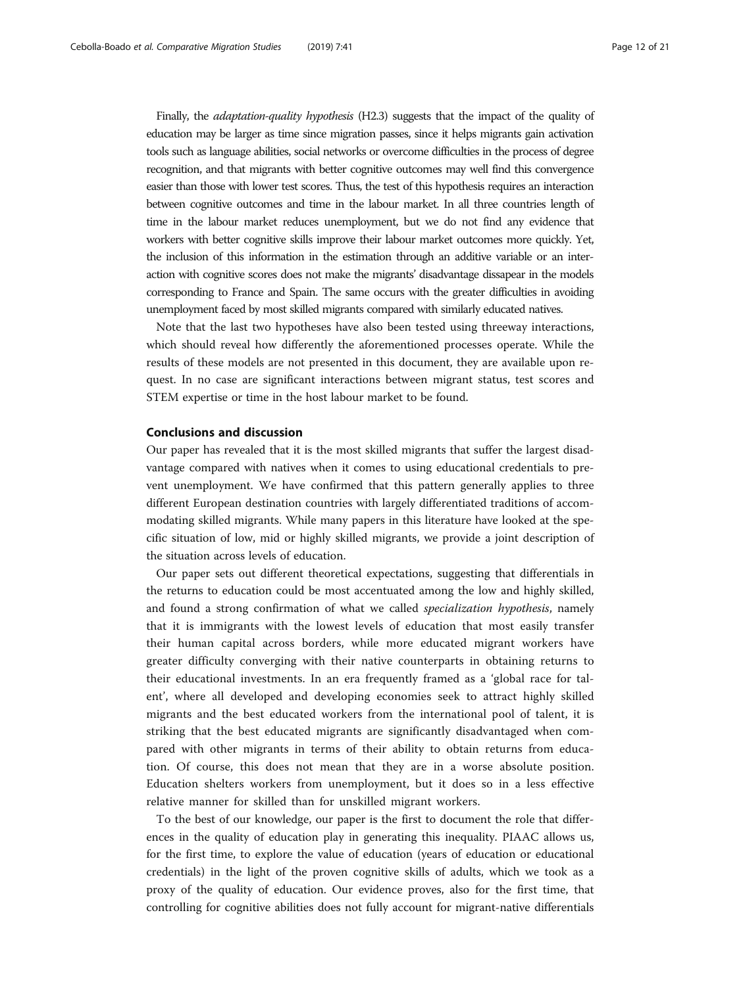Finally, the *adaptation-quality hypothesis* (H2.3) suggests that the impact of the quality of education may be larger as time since migration passes, since it helps migrants gain activation tools such as language abilities, social networks or overcome difficulties in the process of degree recognition, and that migrants with better cognitive outcomes may well find this convergence easier than those with lower test scores. Thus, the test of this hypothesis requires an interaction between cognitive outcomes and time in the labour market. In all three countries length of time in the labour market reduces unemployment, but we do not find any evidence that workers with better cognitive skills improve their labour market outcomes more quickly. Yet, the inclusion of this information in the estimation through an additive variable or an interaction with cognitive scores does not make the migrants' disadvantage dissapear in the models corresponding to France and Spain. The same occurs with the greater difficulties in avoiding unemployment faced by most skilled migrants compared with similarly educated natives.

Note that the last two hypotheses have also been tested using threeway interactions, which should reveal how differently the aforementioned processes operate. While the results of these models are not presented in this document, they are available upon request. In no case are significant interactions between migrant status, test scores and STEM expertise or time in the host labour market to be found.

### Conclusions and discussion

Our paper has revealed that it is the most skilled migrants that suffer the largest disadvantage compared with natives when it comes to using educational credentials to prevent unemployment. We have confirmed that this pattern generally applies to three different European destination countries with largely differentiated traditions of accommodating skilled migrants. While many papers in this literature have looked at the specific situation of low, mid or highly skilled migrants, we provide a joint description of the situation across levels of education.

Our paper sets out different theoretical expectations, suggesting that differentials in the returns to education could be most accentuated among the low and highly skilled, and found a strong confirmation of what we called specialization hypothesis, namely that it is immigrants with the lowest levels of education that most easily transfer their human capital across borders, while more educated migrant workers have greater difficulty converging with their native counterparts in obtaining returns to their educational investments. In an era frequently framed as a 'global race for talent', where all developed and developing economies seek to attract highly skilled migrants and the best educated workers from the international pool of talent, it is striking that the best educated migrants are significantly disadvantaged when compared with other migrants in terms of their ability to obtain returns from education. Of course, this does not mean that they are in a worse absolute position. Education shelters workers from unemployment, but it does so in a less effective relative manner for skilled than for unskilled migrant workers.

To the best of our knowledge, our paper is the first to document the role that differences in the quality of education play in generating this inequality. PIAAC allows us, for the first time, to explore the value of education (years of education or educational credentials) in the light of the proven cognitive skills of adults, which we took as a proxy of the quality of education. Our evidence proves, also for the first time, that controlling for cognitive abilities does not fully account for migrant-native differentials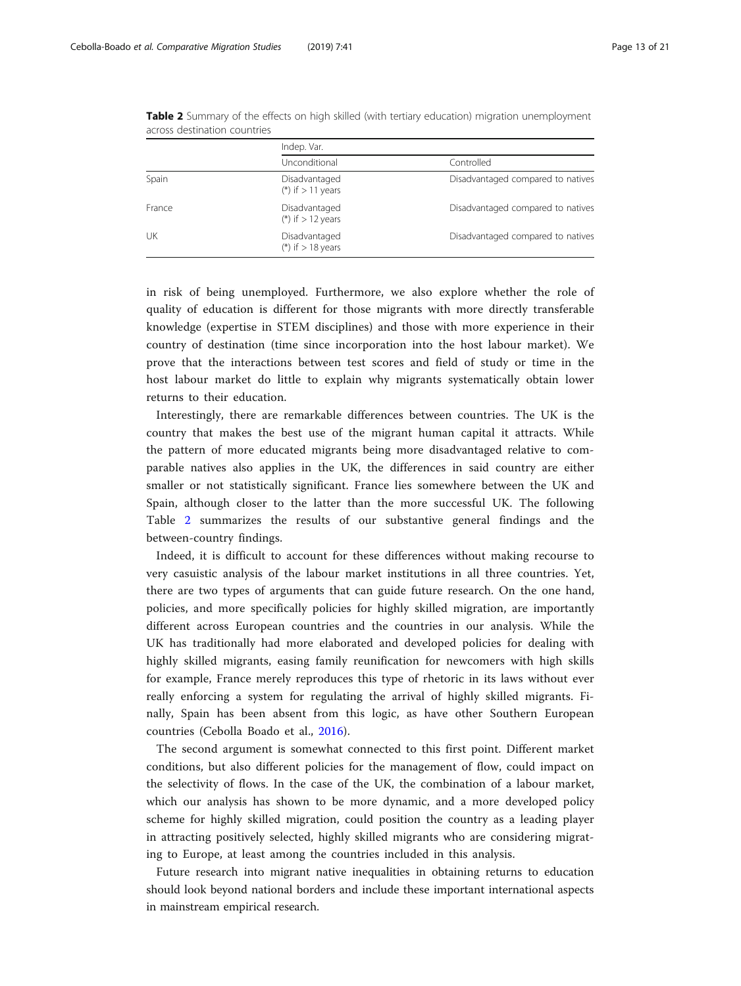|        | Indep. Var.                            |                                   |  |  |  |  |  |  |
|--------|----------------------------------------|-----------------------------------|--|--|--|--|--|--|
|        | Unconditional                          | Controlled                        |  |  |  |  |  |  |
| Spain  | Disadvantaged<br>(*) if $> 11$ years   | Disadvantaged compared to natives |  |  |  |  |  |  |
| France | Disadvantaged<br>$(*)$ if $> 12$ years | Disadvantaged compared to natives |  |  |  |  |  |  |
| UK     | Disadvantaged<br>(*) if $> 18$ years   | Disadvantaged compared to natives |  |  |  |  |  |  |

Table 2 Summary of the effects on high skilled (with tertiary education) migration unemployment across destination countries

in risk of being unemployed. Furthermore, we also explore whether the role of quality of education is different for those migrants with more directly transferable knowledge (expertise in STEM disciplines) and those with more experience in their country of destination (time since incorporation into the host labour market). We prove that the interactions between test scores and field of study or time in the host labour market do little to explain why migrants systematically obtain lower returns to their education.

Interestingly, there are remarkable differences between countries. The UK is the country that makes the best use of the migrant human capital it attracts. While the pattern of more educated migrants being more disadvantaged relative to comparable natives also applies in the UK, the differences in said country are either smaller or not statistically significant. France lies somewhere between the UK and Spain, although closer to the latter than the more successful UK. The following Table 2 summarizes the results of our substantive general findings and the between-country findings.

Indeed, it is difficult to account for these differences without making recourse to very casuistic analysis of the labour market institutions in all three countries. Yet, there are two types of arguments that can guide future research. On the one hand, policies, and more specifically policies for highly skilled migration, are importantly different across European countries and the countries in our analysis. While the UK has traditionally had more elaborated and developed policies for dealing with highly skilled migrants, easing family reunification for newcomers with high skills for example, France merely reproduces this type of rhetoric in its laws without ever really enforcing a system for regulating the arrival of highly skilled migrants. Finally, Spain has been absent from this logic, as have other Southern European countries (Cebolla Boado et al., [2016](#page-19-0)).

The second argument is somewhat connected to this first point. Different market conditions, but also different policies for the management of flow, could impact on the selectivity of flows. In the case of the UK, the combination of a labour market, which our analysis has shown to be more dynamic, and a more developed policy scheme for highly skilled migration, could position the country as a leading player in attracting positively selected, highly skilled migrants who are considering migrating to Europe, at least among the countries included in this analysis.

Future research into migrant native inequalities in obtaining returns to education should look beyond national borders and include these important international aspects in mainstream empirical research.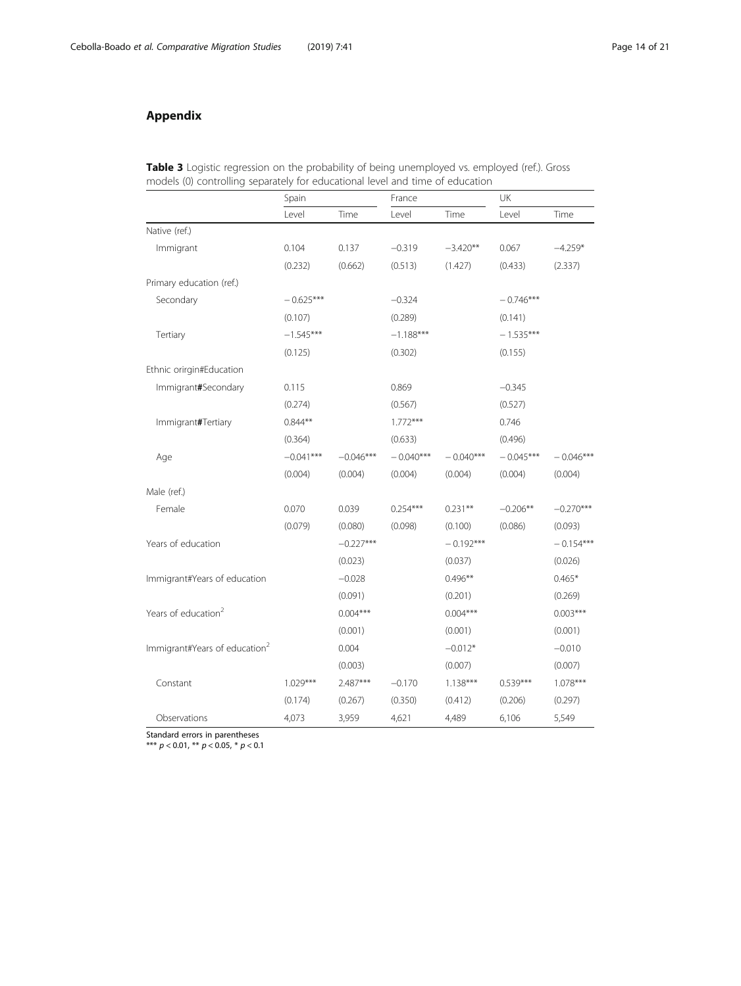# <span id="page-13-0"></span>Appendix

|  |  |                                                                               | Table 3 Logistic regression on the probability of being unemployed vs. employed (ref.). Gross |  |
|--|--|-------------------------------------------------------------------------------|-----------------------------------------------------------------------------------------------|--|
|  |  | models (0) controlling separately for educational level and time of education |                                                                                               |  |

|                                           | Spain       |             | France      |             | UK          |             |
|-------------------------------------------|-------------|-------------|-------------|-------------|-------------|-------------|
|                                           | Level       | Time        | Level       | Time        | Level       | Time        |
| Native (ref.)                             |             |             |             |             |             |             |
| Immigrant                                 | 0.104       | 0.137       | $-0.319$    | $-3.420**$  | 0.067       | $-4.259*$   |
|                                           | (0.232)     | (0.662)     | (0.513)     | (1.427)     | (0.433)     | (2.337)     |
| Primary education (ref.)                  |             |             |             |             |             |             |
| Secondary                                 | $-0.625***$ |             | $-0.324$    |             | $-0.746***$ |             |
|                                           | (0.107)     |             | (0.289)     |             | (0.141)     |             |
| Tertiary                                  | $-1.545***$ |             | $-1.188***$ |             | $-1.535***$ |             |
|                                           | (0.125)     |             | (0.302)     |             | (0.155)     |             |
| Ethnic orirgin#Education                  |             |             |             |             |             |             |
| Immigrant#Secondary                       | 0.115       |             | 0.869       |             | $-0.345$    |             |
|                                           | (0.274)     |             | (0.567)     |             | (0.527)     |             |
| Immigrant#Tertiary                        | $0.844**$   |             | $1.772***$  |             | 0.746       |             |
|                                           | (0.364)     |             | (0.633)     |             | (0.496)     |             |
| Age                                       | $-0.041***$ | $-0.046***$ | $-0.040***$ | $-0.040***$ | $-0.045***$ | $-0.046***$ |
|                                           | (0.004)     | (0.004)     | (0.004)     | (0.004)     | (0.004)     | (0.004)     |
| Male (ref.)                               |             |             |             |             |             |             |
| Female                                    | 0.070       | 0.039       | $0.254***$  | $0.231**$   | $-0.206**$  | $-0.270***$ |
|                                           | (0.079)     | (0.080)     | (0.098)     | (0.100)     | (0.086)     | (0.093)     |
| Years of education                        |             | $-0.227***$ |             | $-0.192***$ |             | $-0.154***$ |
|                                           |             | (0.023)     |             | (0.037)     |             | (0.026)     |
| Immigrant#Years of education              |             | $-0.028$    |             | $0.496**$   |             | $0.465*$    |
|                                           |             | (0.091)     |             | (0.201)     |             | (0.269)     |
| Years of education <sup>2</sup>           |             | $0.004***$  |             | $0.004***$  |             | $0.003***$  |
|                                           |             | (0.001)     |             | (0.001)     |             | (0.001)     |
| Immigrant#Years of education <sup>2</sup> |             | 0.004       |             | $-0.012*$   |             | $-0.010$    |
|                                           |             | (0.003)     |             | (0.007)     |             | (0.007)     |
| Constant                                  | $1.029***$  | 2.487***    | $-0.170$    | $1.138***$  | $0.539***$  | 1.078***    |
|                                           | (0.174)     | (0.267)     | (0.350)     | (0.412)     | (0.206)     | (0.297)     |
| Observations                              | 4,073       | 3,959       | 4,621       | 4,489       | 6,106       | 5,549       |

Standard errors in parentheses

\*\*\* p < 0.01, \*\* p < 0.05, \* p < 0.1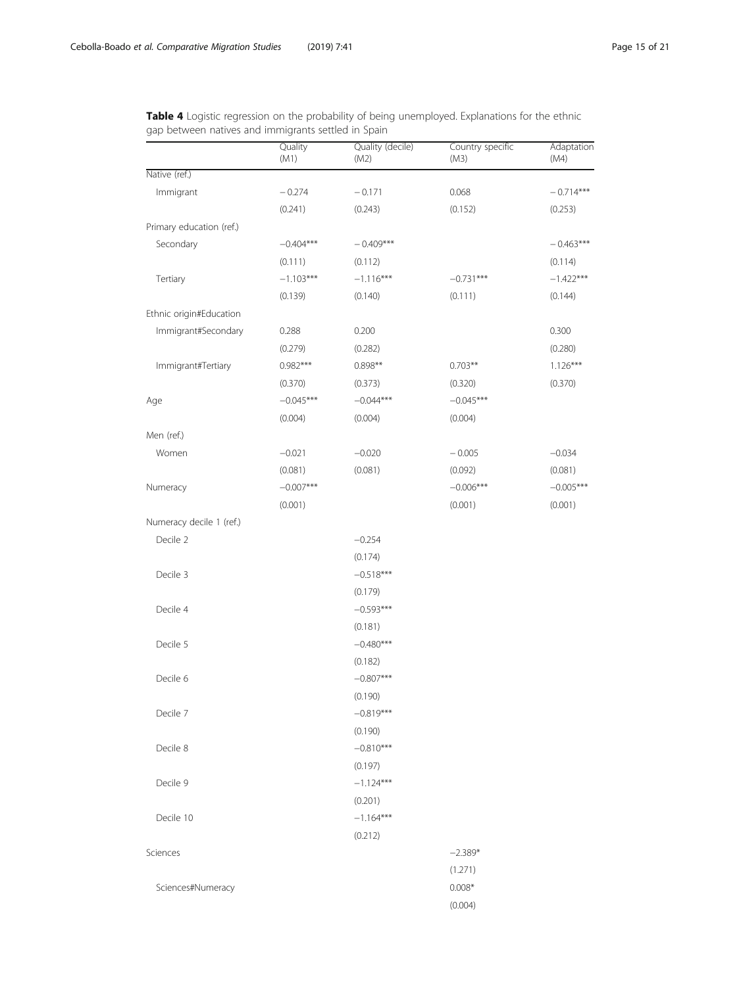<span id="page-14-0"></span>Table 4 Logistic regression on the probability of being unemployed. Explanations for the ethnic gap between natives and immigrants settled in Spain

|                          | Quality<br>(M1) | Quality (decile)<br>(M2) | Country specific<br>(M3) | Adaptation<br>(M4) |
|--------------------------|-----------------|--------------------------|--------------------------|--------------------|
| Native (ref.)            |                 |                          |                          |                    |
| Immigrant                | $-0.274$        | $-0.171$                 | 0.068                    | $-0.714***$        |
|                          | (0.241)         | (0.243)                  | (0.152)                  | (0.253)            |
| Primary education (ref.) |                 |                          |                          |                    |
| Secondary                | $-0.404***$     | $-0.409***$              |                          | $-0.463***$        |
|                          | (0.111)         | (0.112)                  |                          | (0.114)            |
| Tertiary                 | $-1.103***$     | $-1.116***$              | $-0.731***$              | $-1.422***$        |
|                          | (0.139)         | (0.140)                  | (0.111)                  | (0.144)            |
| Ethnic origin#Education  |                 |                          |                          |                    |
| Immigrant#Secondary      | 0.288           | 0.200                    |                          | 0.300              |
|                          | (0.279)         | (0.282)                  |                          | (0.280)            |
| Immigrant#Tertiary       | $0.982***$      | $0.898**$                | $0.703**$                | $1.126***$         |
|                          | (0.370)         | (0.373)                  | (0.320)                  | (0.370)            |
| Age                      | $-0.045***$     | $-0.044***$              | $-0.045***$              |                    |
|                          | (0.004)         | (0.004)                  | (0.004)                  |                    |
| Men (ref.)               |                 |                          |                          |                    |
| Women                    | $-0.021$        | $-0.020$                 | $-0.005$                 | $-0.034$           |
|                          | (0.081)         | (0.081)                  | (0.092)                  | (0.081)            |
| Numeracy                 | $-0.007***$     |                          | $-0.006***$              | $-0.005***$        |
|                          | (0.001)         |                          | (0.001)                  | (0.001)            |
| Numeracy decile 1 (ref.) |                 |                          |                          |                    |
| Decile 2                 |                 | $-0.254$                 |                          |                    |
|                          |                 | (0.174)                  |                          |                    |
| Decile 3                 |                 | $-0.518***$              |                          |                    |
|                          |                 | (0.179)                  |                          |                    |
| Decile 4                 |                 | $-0.593***$              |                          |                    |
|                          |                 | (0.181)                  |                          |                    |
| Decile 5                 |                 | $-0.480***$              |                          |                    |
|                          |                 | (0.182)                  |                          |                    |
| Decile 6                 |                 | $-0.807***$              |                          |                    |
|                          |                 | (0.190)                  |                          |                    |
| Decile 7                 |                 | $-0.819***$              |                          |                    |
|                          |                 | (0.190)                  |                          |                    |
| Decile 8                 |                 | $-0.810***$              |                          |                    |
|                          |                 | (0.197)                  |                          |                    |
| Decile 9                 |                 | $-1.124***$              |                          |                    |
|                          |                 | (0.201)                  |                          |                    |
| Decile 10                |                 | $-1.164***$              |                          |                    |
|                          |                 | (0.212)                  |                          |                    |
| Sciences                 |                 |                          | $-2.389*$                |                    |
|                          |                 |                          | (1.271)                  |                    |
| Sciences#Numeracy        |                 |                          | $0.008*$                 |                    |
|                          |                 |                          | (0.004)                  |                    |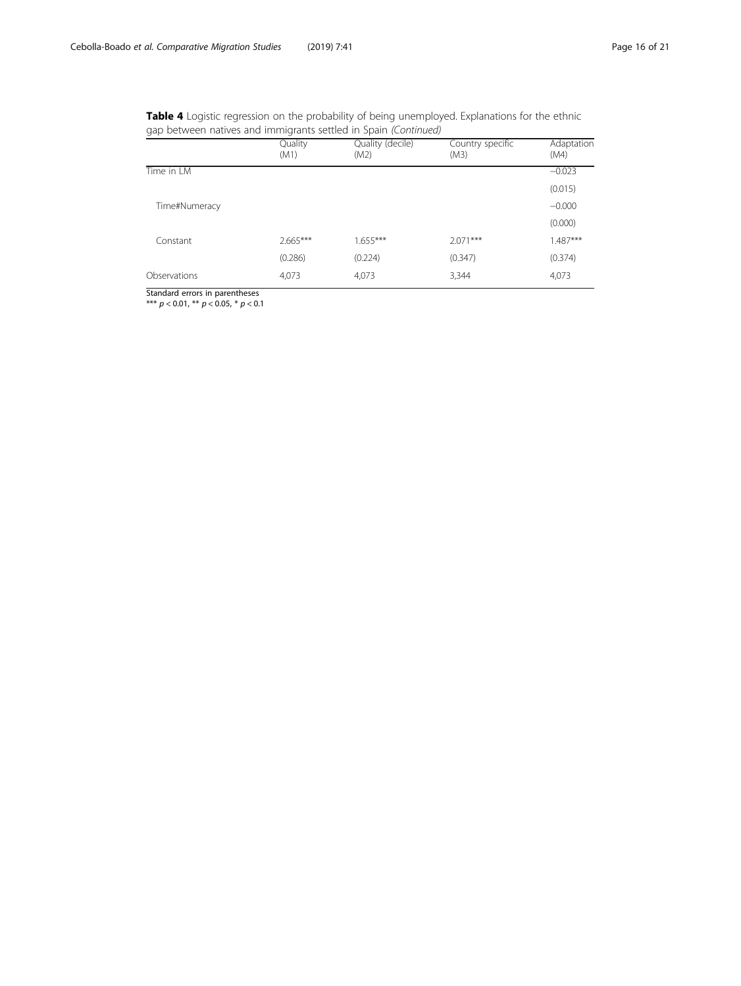| <b>Table 4</b> Logistic regression on the probability of being unemployed. Explanations for the ethnic |  |
|--------------------------------------------------------------------------------------------------------|--|
| gap between natives and immigrants settled in Spain (Continued)                                        |  |

|               | Quality<br>(M1) | Quality (decile)<br>(M2) | Country specific<br>(M3) | Adaptation<br>(M4) |
|---------------|-----------------|--------------------------|--------------------------|--------------------|
| Time in LM    |                 |                          |                          | $-0.023$           |
|               |                 |                          |                          | (0.015)            |
| Time#Numeracy |                 |                          |                          | $-0.000$           |
|               |                 |                          |                          | (0.000)            |
| Constant      | $2.665***$      | $1.655***$               | $2.071***$               | $1.487***$         |
|               | (0.286)         | (0.224)                  | (0.347)                  | (0.374)            |
| Observations  | 4,073           | 4,073                    | 3,344                    | 4,073              |

Standard errors in parentheses \*\*\* p < 0.01, \*\* p < 0.05, \* p < 0.1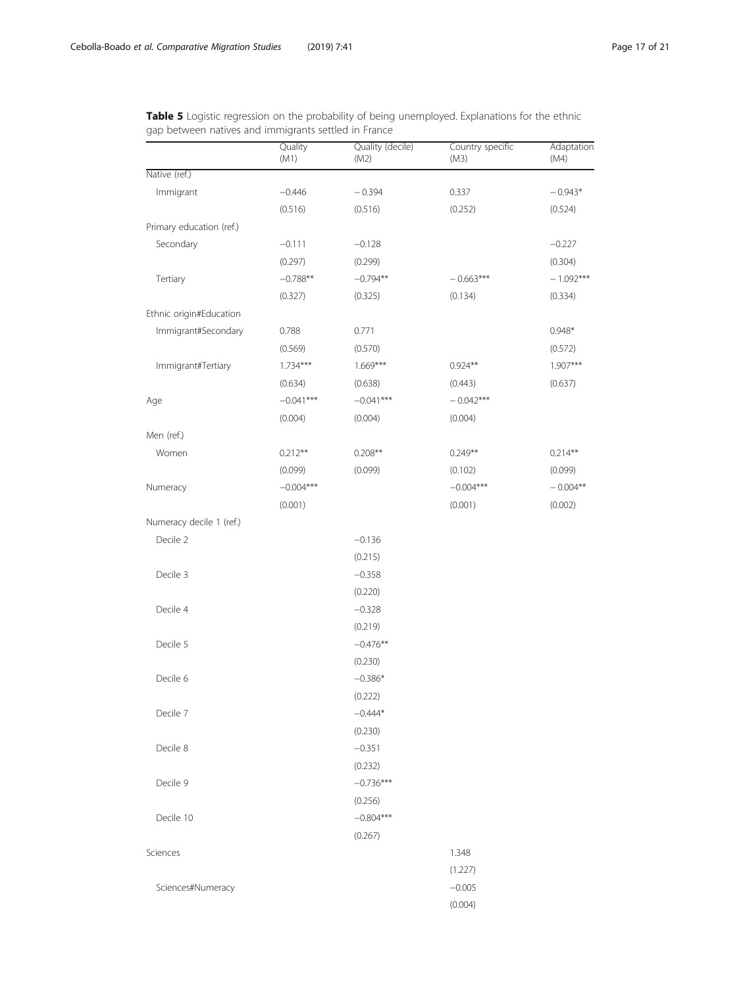<span id="page-16-0"></span>Table 5 Logistic regression on the probability of being unemployed. Explanations for the ethnic gap between natives and immigrants settled in France

|                          | Quality<br>(M1) | Quality (decile)<br>(M2) | Country specific<br>(M3) | Adaptation<br>(M4) |
|--------------------------|-----------------|--------------------------|--------------------------|--------------------|
| Native (ref.)            |                 |                          |                          |                    |
| Immigrant                | $-0.446$        | $-0.394$                 | 0.337                    | $-0.943*$          |
|                          | (0.516)         | (0.516)                  | (0.252)                  | (0.524)            |
| Primary education (ref.) |                 |                          |                          |                    |
| Secondary                | $-0.111$        | $-0.128$                 |                          | $-0.227$           |
|                          | (0.297)         | (0.299)                  |                          | (0.304)            |
| Tertiary                 | $-0.788**$      | $-0.794**$               | $-0.663***$              | $-1.092***$        |
|                          | (0.327)         | (0.325)                  | (0.134)                  | (0.334)            |
| Ethnic origin#Education  |                 |                          |                          |                    |
| Immigrant#Secondary      | 0.788           | 0.771                    |                          | $0.948*$           |
|                          | (0.569)         | (0.570)                  |                          | (0.572)            |
| Immigrant#Tertiary       | $1.734***$      | $1.669***$               | $0.924**$                | $1.907***$         |
|                          | (0.634)         | (0.638)                  | (0.443)                  | (0.637)            |
| Age                      | $-0.041***$     | $-0.041***$              | $-0.042***$              |                    |
|                          | (0.004)         | (0.004)                  | (0.004)                  |                    |
| Men (ref.)               |                 |                          |                          |                    |
| Women                    | $0.212**$       | $0.208**$                | $0.249**$                | $0.214**$          |
|                          | (0.099)         | (0.099)                  | (0.102)                  | (0.099)            |
| Numeracy                 | $-0.004***$     |                          | $-0.004***$              | $-0.004**$         |
|                          | (0.001)         |                          | (0.001)                  | (0.002)            |
| Numeracy decile 1 (ref.) |                 |                          |                          |                    |
| Decile 2                 |                 | $-0.136$                 |                          |                    |
|                          |                 | (0.215)                  |                          |                    |
| Decile 3                 |                 | $-0.358$                 |                          |                    |
|                          |                 | (0.220)                  |                          |                    |
| Decile 4                 |                 | $-0.328$                 |                          |                    |
|                          |                 | (0.219)                  |                          |                    |
| Decile 5                 |                 | $-0.476**$               |                          |                    |
|                          |                 | (0.230)                  |                          |                    |
| Decile 6                 |                 | $-0.386*$                |                          |                    |
|                          |                 | (0.222)                  |                          |                    |
| Decile 7                 |                 | $-0.444*$                |                          |                    |
|                          |                 | (0.230)                  |                          |                    |
| Decile 8                 |                 | $-0.351$                 |                          |                    |
|                          |                 | (0.232)                  |                          |                    |
| Decile 9                 |                 | $-0.736***$              |                          |                    |
|                          |                 | (0.256)                  |                          |                    |
| Decile 10                |                 | $-0.804***$              |                          |                    |
|                          |                 | (0.267)                  |                          |                    |
| Sciences                 |                 |                          | 1.348                    |                    |
|                          |                 |                          | (1.227)                  |                    |
| Sciences#Numeracy        |                 |                          | $-0.005$                 |                    |
|                          |                 |                          | (0.004)                  |                    |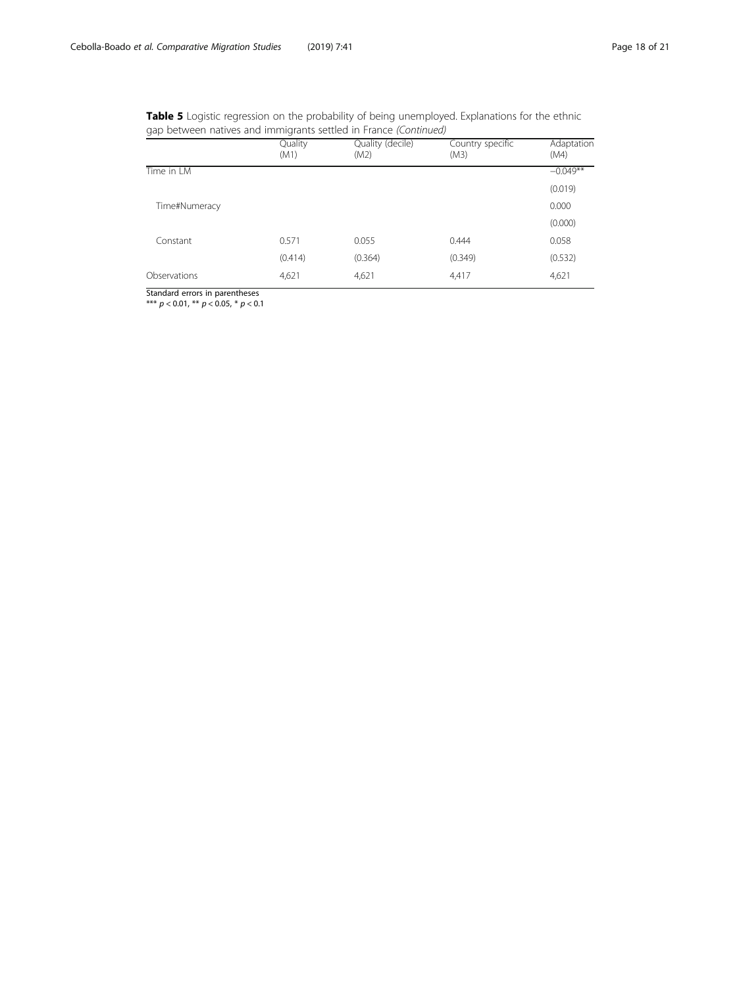| <b>Table 5</b> Logistic regression on the probability of being unemployed. Explanations for the ethnic |  |  |  |
|--------------------------------------------------------------------------------------------------------|--|--|--|
| gap between natives and immigrants settled in France (Continued)                                       |  |  |  |

|               | Quality<br>(M1) | Quality (decile)<br>(M2) | Country specific<br>(M3) | Adaptation<br>(M4) |
|---------------|-----------------|--------------------------|--------------------------|--------------------|
| Time in LM    |                 |                          |                          | $-0.049**$         |
|               |                 |                          |                          | (0.019)            |
| Time#Numeracy |                 |                          |                          | 0.000              |
|               |                 |                          |                          | (0.000)            |
| Constant      | 0.571           | 0.055                    | 0.444                    | 0.058              |
|               | (0.414)         | (0.364)                  | (0.349)                  | (0.532)            |
| Observations  | 4,621           | 4,621                    | 4,417                    | 4,621              |

Standard errors in parentheses \*\*\* p < 0.01, \*\* p < 0.05, \* p < 0.1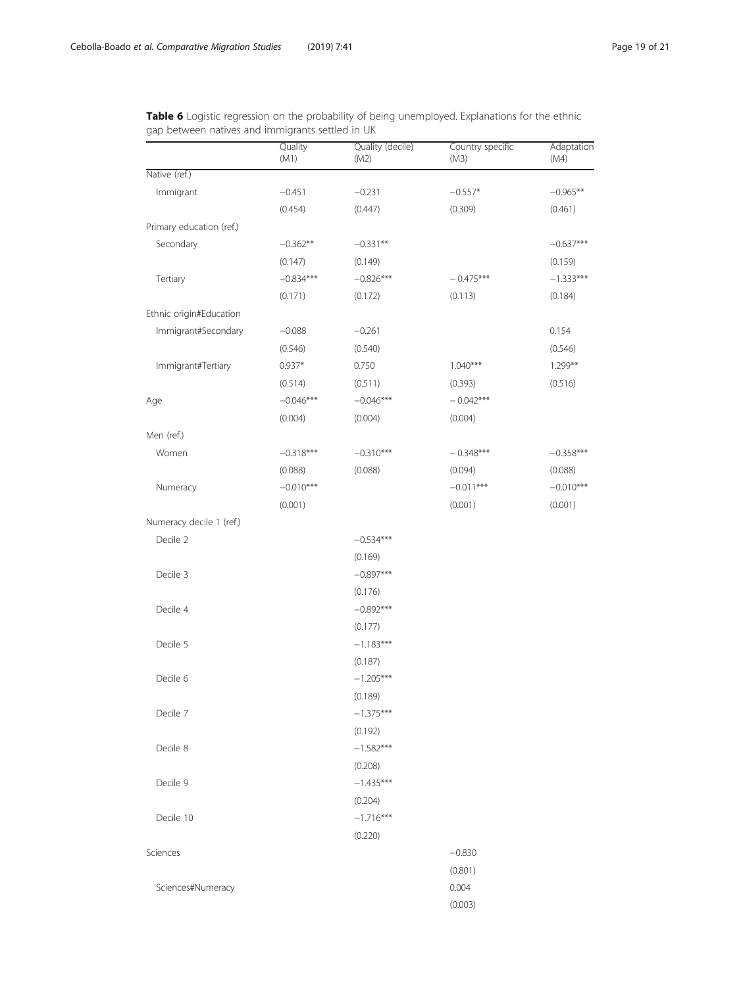<span id="page-18-0"></span>Table 6 Logistic regression on the probability of being unemployed. Explanations for the ethnic gap between natives and immigrants settled in UK

|                          | Quality<br>(M1) | Quality (decile)<br>(M2) | Country specific<br>(M3) | Adaptation<br>(M4) |
|--------------------------|-----------------|--------------------------|--------------------------|--------------------|
| Native (ref.)            |                 |                          |                          |                    |
| Immigrant                | $-0.451$        | $-0.231$                 | $-0.557*$                | $-0.965**$         |
|                          | (0.454)         | (0.447)                  | (0.309)                  | (0.461)            |
| Primary education (ref.) |                 |                          |                          |                    |
| Secondary                | $-0.362**$      | $-0.331**$               |                          | $-0.637***$        |
|                          | (0.147)         | (0.149)                  |                          | (0.159)            |
| Tertiary                 | $-0.834***$     | $-0.826***$              | $-0.475***$              | $-1.333***$        |
|                          | (0.171)         | (0.172)                  | (0.113)                  | (0.184)            |
| Ethnic origin#Education  |                 |                          |                          |                    |
| Immigrant#Secondary      | $-0.088$        | $-0.261$                 |                          | 0.154              |
|                          | (0.546)         | (0.540)                  |                          | (0.546)            |
| Immigrant#Tertiary       | $0.937*$        | 0.750                    | $1.040***$               | $1.299**$          |
|                          | (0.514)         | (0.511)                  | (0.393)                  | (0.516)            |
| Age                      | $-0.046***$     | $-0.046***$              | $-0.042***$              |                    |
|                          | (0.004)         | (0.004)                  | (0.004)                  |                    |
| Men (ref.)               |                 |                          |                          |                    |
| Women                    | $-0.318***$     | $-0.310***$              | $-0.348***$              | $-0.358***$        |
|                          | (0.088)         | (0.088)                  | (0.094)                  | (0.088)            |
| Numeracy                 | $-0.010***$     |                          | $-0.011***$              | $-0.010***$        |
|                          | (0.001)         |                          | (0.001)                  | (0.001)            |
| Numeracy decile 1 (ref.) |                 |                          |                          |                    |
| Decile 2                 |                 | $-0.534***$              |                          |                    |
|                          |                 | (0.169)                  |                          |                    |
| Decile 3                 |                 | $-0.897***$              |                          |                    |
|                          |                 | (0.176)                  |                          |                    |
| Decile 4                 |                 | $-0.892***$              |                          |                    |
|                          |                 | (0.177)                  |                          |                    |
| Decile 5                 |                 | $-1.183***$              |                          |                    |
|                          |                 | (0.187)                  |                          |                    |
| Decile 6                 |                 | $-1.205***$              |                          |                    |
|                          |                 | (0.189)                  |                          |                    |
| Decile 7                 |                 | $-1.375***$              |                          |                    |
|                          |                 | (0.192)                  |                          |                    |
| Decile 8                 |                 | $-1.582***$              |                          |                    |
|                          |                 | (0.208)                  |                          |                    |
| Decile 9                 |                 | $-1.435***$              |                          |                    |
|                          |                 | (0.204)                  |                          |                    |
| Decile 10                |                 | $-1.716***$              |                          |                    |
|                          |                 | (0.220)                  |                          |                    |
| Sciences                 |                 |                          | $-0.830$                 |                    |
|                          |                 |                          | (0.801)                  |                    |
| Sciences#Numeracy        |                 |                          | 0.004                    |                    |
|                          |                 |                          | (0.003)                  |                    |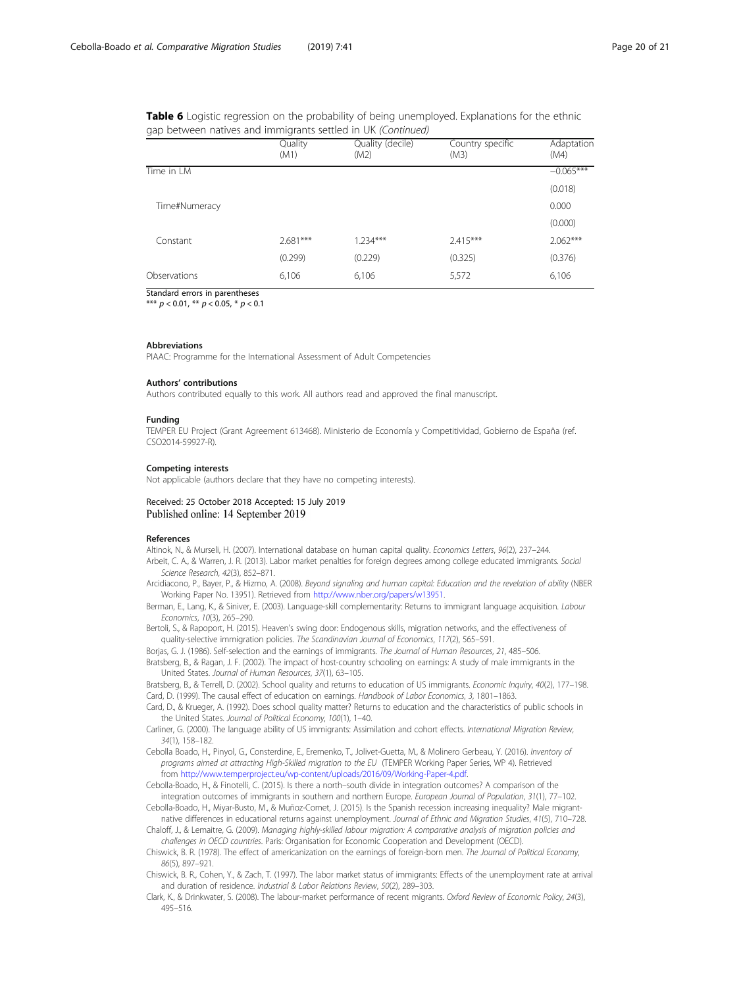<span id="page-19-0"></span>

|  | Table 6 Logistic regression on the probability of being unemployed. Explanations for the ethnic |  |  |  |  |  |  |
|--|-------------------------------------------------------------------------------------------------|--|--|--|--|--|--|
|  | gap between natives and immigrants settled in UK (Continued)                                    |  |  |  |  |  |  |

|               | Quality<br>(M1) | Quality (decile)<br>(M2) | Country specific<br>(M3) | Adaptation<br>(M4) |
|---------------|-----------------|--------------------------|--------------------------|--------------------|
| Time in LM    |                 |                          |                          | $-0.065***$        |
|               |                 |                          |                          | (0.018)            |
| Time#Numeracy |                 |                          |                          | 0.000              |
|               |                 |                          |                          | (0.000)            |
| Constant      | $2.681***$      | $1.234***$               | $2.415***$               | $2.062***$         |
|               | (0.299)         | (0.229)                  | (0.325)                  | (0.376)            |
| Observations  | 6,106           | 6,106                    | 5,572                    | 6,106              |

Standard errors in parentheses \*\*\*  $p < 0.01$ , \*\*  $p < 0.05$ , \*  $p < 0.1$ 

# Abbreviations

PIAAC: Programme for the International Assessment of Adult Competencies

#### Authors' contributions

Authors contributed equally to this work. All authors read and approved the final manuscript.

#### Funding

TEMPER EU Project (Grant Agreement 613468). Ministerio de Economía y Competitividad, Gobierno de España (ref. CSO2014-59927-R).

### Competing interests

Not applicable (authors declare that they have no competing interests).

Received: 25 October 2018 Accepted: 15 July 2019 Published online: 14 September 2019

### References

Altinok, N., & Murseli, H. (2007). International database on human capital quality. Economics Letters, 96(2), 237–244.

- Arbeit, C. A., & Warren, J. R. (2013). Labor market penalties for foreign degrees among college educated immigrants. Social Science Research, 42(3), 852–871.
- Arcidiacono, P., Bayer, P., & Hizmo, A. (2008). Beyond signaling and human capital: Education and the revelation of ability (NBER Working Paper No. 13951). Retrieved from [http://www.nber.org/papers/w13951.](http://www.nber.org/papers/w13951)
- Berman, E., Lang, K., & Siniver, E. (2003). Language-skill complementarity: Returns to immigrant language acquisition. Labour Economics, 10(3), 265–290.
- Bertoli, S., & Rapoport, H. (2015). Heaven's swing door: Endogenous skills, migration networks, and the effectiveness of quality-selective immigration policies. The Scandinavian Journal of Economics, 117(2), 565–591.
- Borjas, G. J. (1986). Self-selection and the earnings of immigrants. The Journal of Human Resources, 21, 485–506.
- Bratsberg, B., & Ragan, J. F. (2002). The impact of host-country schooling on earnings: A study of male immigrants in the United States. Journal of Human Resources, 37(1), 63–105.

Bratsberg, B., & Terrell, D. (2002). School quality and returns to education of US immigrants. Economic Inquiry, 40(2), 177–198. Card, D. (1999). The causal effect of education on earnings. Handbook of Labor Economics, 3, 1801–1863.

- Card, D., & Krueger, A. (1992). Does school quality matter? Returns to education and the characteristics of public schools in the United States. Journal of Political Economy, 100(1), 1–40.
- Carliner, G. (2000). The language ability of US immigrants: Assimilation and cohort effects. International Migration Review, 34(1), 158–182.
- Cebolla Boado, H., Pinyol, G., Consterdine, E., Eremenko, T., Jolivet-Guetta, M., & Molinero Gerbeau, Y. (2016). Inventory of programs aimed at attracting High-Skilled migration to the EU (TEMPER Working Paper Series, WP 4). Retrieved from <http://www.temperproject.eu/wp-content/uploads/2016/09/Working-Paper-4.pdf>.
- Cebolla-Boado, H., & Finotelli, C. (2015). Is there a north–south divide in integration outcomes? A comparison of the integration outcomes of immigrants in southern and northern Europe. European Journal of Population, 31(1), 77–102.
- Cebolla-Boado, H., Miyar-Busto, M., & Muñoz-Comet, J. (2015). Is the Spanish recession increasing inequality? Male migrantnative differences in educational returns against unemployment. Journal of Ethnic and Migration Studies, 41(5), 710–728.
- Chaloff, J., & Lemaitre, G. (2009). Managing highly-skilled labour migration: A comparative analysis of migration policies and challenges in OECD countries. Paris: Organisation for Economic Cooperation and Development (OECD).
- Chiswick, B. R. (1978). The effect of americanization on the earnings of foreign-born men. The Journal of Political Economy, 86(5), 897–921.
- Chiswick, B. R., Cohen, Y., & Zach, T. (1997). The labor market status of immigrants: Effects of the unemployment rate at arrival and duration of residence. Industrial & Labor Relations Review, 50(2), 289–303.
- Clark, K., & Drinkwater, S. (2008). The labour-market performance of recent migrants. Oxford Review of Economic Policy, 24(3), 495–516.